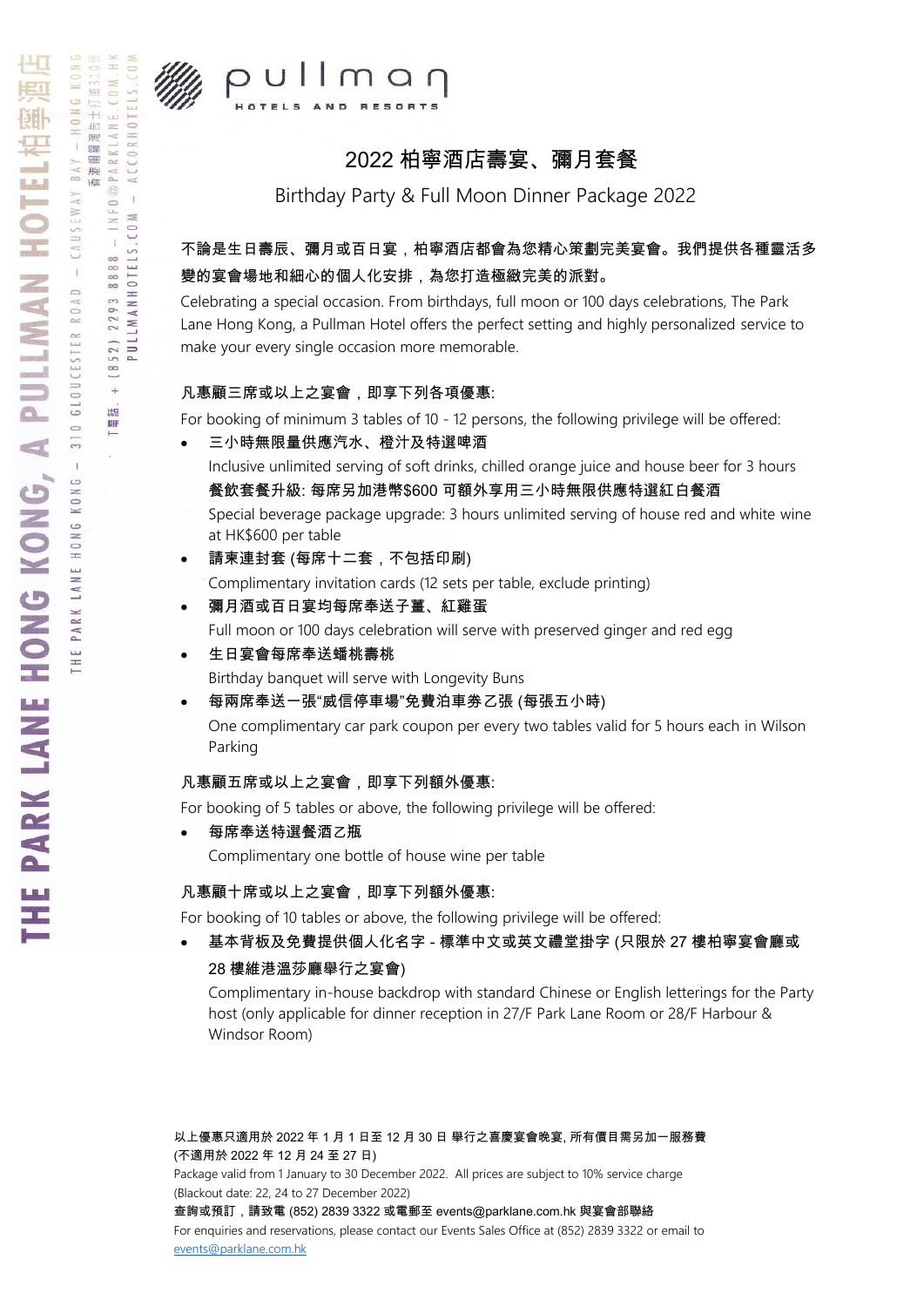

HK 道310號

 $CM$ .

@PARKLANE.

 $\frac{8}{8}$ 

 $\frac{8}{8}$ 

2293

852)

 $\ddot{\phantom{1}}$  $\overline{u}$ 「電

 $\mathbf{q}$  $I N F 0$  $C 0 M$  $\overline{1}$ 

PULLMANHOTELS.

 $\pm\frac{1}{4}$ 

 $\frac{1}{411}$ 观螺  $\mathbf{u}$ 

震把

**WII** 

 $\overline{1}$ 

 $\circ$ 

 $\hat{\mathbf{I}}$ 

HONG

LANE



# 2022 柏寧酒店壽宴、彌月套餐

Birthday Party & Full Moon Dinner Package 2022

### 不論是生日壽辰、彌月或百日宴,柏寧酒店都會為您精心策劃完美宴會。我們提供各種靈活多 變的宴會場地和細心的個人化安排,為您打造極緻完美的派對。

Celebrating a special occasion. From birthdays, full moon or 100 days celebrations, The Park Lane Hong Kong, a Pullman Hotel offers the perfect setting and highly personalized service to make your every single occasion more memorable.

### 凡惠顧三席或以上之宴會,即享下列各項優惠:

For booking of minimum 3 tables of 10 - 12 persons, the following privilege will be offered:

#### 三小時無限量供應汽水、橙汁及特選啤酒

Inclusive unlimited serving of soft drinks, chilled orange juice and house beer for 3 hours 餐飲套餐升級: 每席另加港幣\$600 可額外享用三小時無限供應特選紅白餐酒

Special beverage package upgrade: 3 hours unlimited serving of house red and white wine at HK\$600 per table

- 請柬連封套 (每席十二套,不包括印刷) Complimentary invitation cards (12 sets per table, exclude printing)
- 彌月酒或百日宴均每席奉送子薑、紅雞蛋 Full moon or 100 days celebration will serve with preserved ginger and red egg
- 生日宴會每席奉送蟠桃壽桃 Birthday banquet will serve with Longevity Buns
- 每兩席奉送一張"威信停車場"免費泊車劵乙張 (每張五小時)

One complimentary car park coupon per every two tables valid for 5 hours each in Wilson Parking

### 凡惠顧五席或以上之宴會,即享下列額外優惠:

For booking of 5 tables or above, the following privilege will be offered:

● 每席奉送特選餐酒乙瓶

Complimentary one bottle of house wine per table

### 凡惠顧十席或以上之宴會,即享下列額外優惠:

For booking of 10 tables or above, the following privilege will be offered:

 基本背板及免費提供個人化名字 - 標準中文或英文禮堂掛字 (只限於 27 樓柏寧宴會廳或 28 樓維港溫莎廳舉行之宴會)

Complimentary in-house backdrop with standard Chinese or English letterings for the Party host (only applicable for dinner reception in 27/F Park Lane Room or 28/F Harbour & Windsor Room)

以上優惠只適用於 2022 年 1 月 1 日至 12 月 30 日 舉行之喜慶宴會晚宴, 所有價目需另加一服務費 (不適用於 2022 年 12 月 24 至 27 日) Package valid from 1 January to 30 December 2022. All prices are subject to 10% service charge (Blackout date: 22, 24 to 27 December 2022) 查詢或預訂,請致電 (852) 2839 3322 或電郵至 events@parklane.com.hk 與宴會部聯絡 For enquiries and reservations, please contact our Events Sales Office at (852) 2839 3322 or email to [events@parklane.com.hk](mailto:events@parklane.com.hk)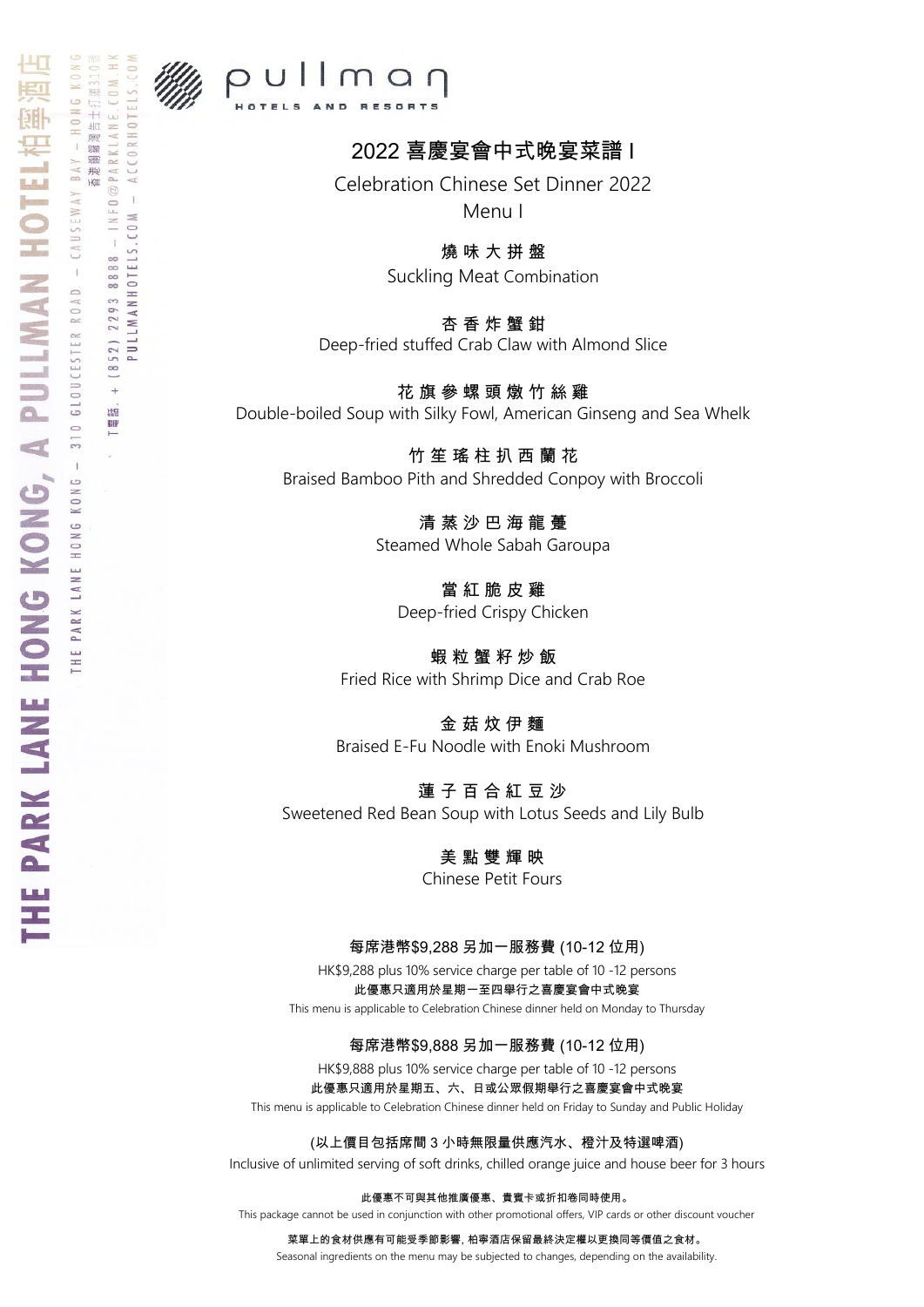

COM.

 $I \vee I \vdash 0 \text{ } @ \verb!PA R KLA N E!$ 

8888

2293

 $(852)$ 

 $\overline{+}$ Hg 「電

ä CO<sub>M</sub>  $\overline{1}$ 

PULLMANHOTELS.

告土打

观螺  $\bar{1}$ 震把

**HEL** 

 $\overline{1}$ 

 $\hat{1}$ 

## $p$ ullman HOTELS AND RESORTS

# 2022 喜慶宴會中式晚宴菜譜 I

Celebration Chinese Set Dinner 2022 Menu I

燒 味 大 拼 盤

Suckling Meat Combination

杏 香 炸 蟹 鉗 Deep-fried stuffed Crab Claw with Almond Slice

花 旗 參 螺 頭 燉 竹 絲 雞 Double-boiled Soup with Silky Fowl, American Ginseng and Sea Whelk

竹 笙 瑤 柱 扒 西 蘭 花 Braised Bamboo Pith and Shredded Conpoy with Broccoli

> 清 蒸 沙 巴 海 龍 躉 Steamed Whole Sabah Garoupa

當 紅 脆 皮 雞 Deep-fried Crispy Chicken

蝦 粒 蟹 籽 炒 飯 Fried Rice with Shrimp Dice and Crab Roe

金 菇 炆 伊 麵 Braised E-Fu Noodle with Enoki Mushroom

蓮 子 百 合 紅 豆 沙 Sweetened Red Bean Soup with Lotus Seeds and Lily Bulb

> 美 點 雙 輝 映 Chinese Petit Fours

每席港幣\$9,288 另加一服務費 (10-12 位用)

HK\$9,288 plus 10% service charge per table of 10 -12 persons 此優惠只適用於星期一至四舉行之喜慶宴會中式晚宴

This menu is applicable to Celebration Chinese dinner held on Monday to Thursday

#### 每席港幣\$9,888 另加一服務費 (10-12 位用)

HK\$9,888 plus 10% service charge per table of 10 -12 persons 此優惠只適用於星期五、六、日或公眾假期舉行之喜慶宴會中式晚宴 This menu is applicable to Celebration Chinese dinner held on Friday to Sunday and Public Holiday

(以上價目包括席間 3 小時無限量供應汽水、橙汁及特選啤酒)

Inclusive of unlimited serving of soft drinks, chilled orange juice and house beer for 3 hours

此優惠不可與其他推廣優惠、貴賓卡或折扣卷同時使用。

This package cannot be used in conjunction with other promotional offers, VIP cards or other discount voucher

菜單上的食材供應有可能受季節影響, 柏寧酒店保留最終決定權以更換同等價值之食材。

Seasonal ingredients on the menu may be subjected to changes, depending on the availability.

 $\oplus$  $X \vee B$ **THE PARK LANE HONG KONG, A PULLMAN HOTEL** CAUSEWAY GLOUCESTER ROAD  $\circ$  $\frac{1}{3}$ KONG THE PARK LANE HONG